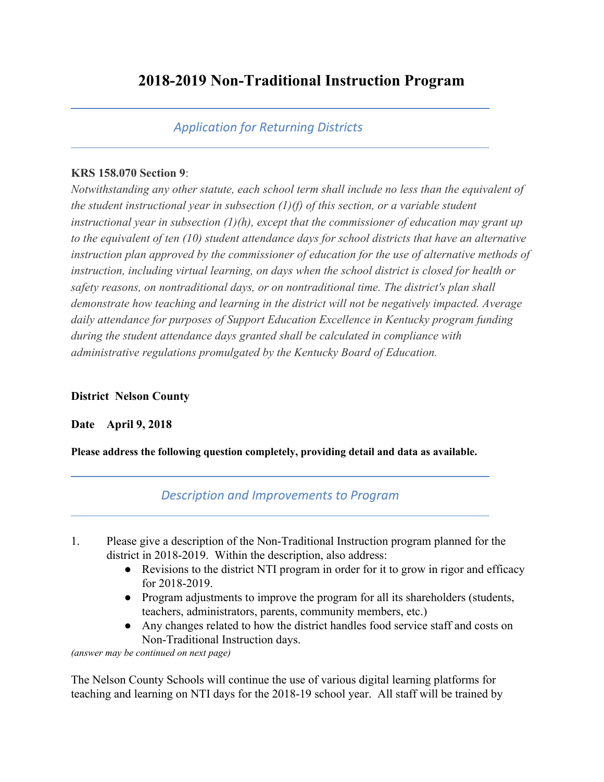# **2018-2019 Non-Traditional Instruction Program**

# *Application for Returning Districts*

#### **KRS 158.070 Section 9**:

*Notwithstanding any other statute, each school term shall include no less than the equivalent of the student instructional year in subsection (1)(f) of this section, or a variable student instructional year in subsection (1)(h), except that the commissioner of education may grant up to the equivalent of ten (10) student attendance days for school districts that have an alternative instruction plan approved by the commissioner of education for the use of alternative methods of instruction, including virtual learning, on days when the school district is closed for health or safety reasons, on nontraditional days, or on nontraditional time. The district's plan shall demonstrate how teaching and learning in the district will not be negatively impacted. Average daily attendance for purposes of Support Education Excellence in Kentucky program funding during the student attendance days granted shall be calculated in compliance with administrative regulations promulgated by the Kentucky Board of Education.*

## **District Nelson County**

## **Date April 9, 2018**

**Please address the following question completely, providing detail and data as available.**

## *Description and Improvements to Program*

- 1. Please give a description of the Non-Traditional Instruction program planned for the district in 2018-2019. Within the description, also address:
	- Revisions to the district NTI program in order for it to grow in rigor and efficacy for 2018-2019.
	- Program adjustments to improve the program for all its shareholders (students, teachers, administrators, parents, community members, etc.)
	- Any changes related to how the district handles food service staff and costs on Non-Traditional Instruction days.

*(answer may be continued on next page)*

The Nelson County Schools will continue the use of various digital learning platforms for teaching and learning on NTI days for the 2018-19 school year. All staff will be trained by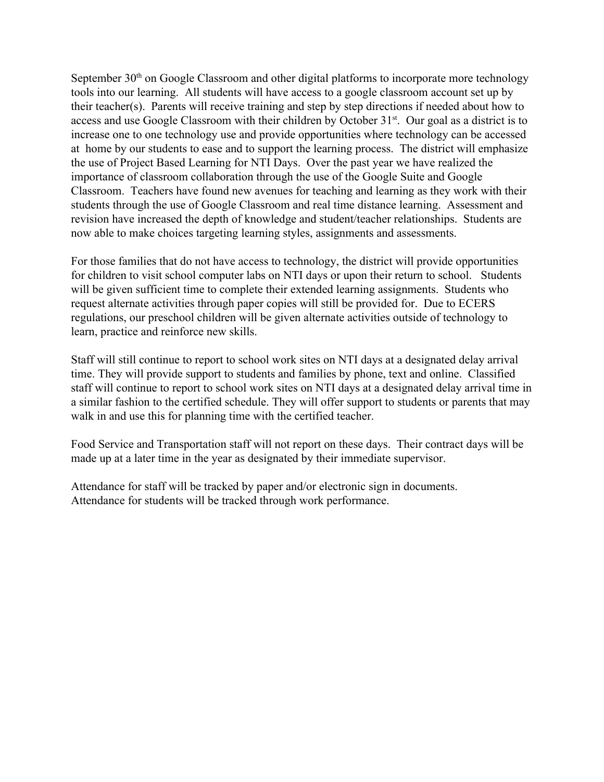September 30<sup>th</sup> on Google Classroom and other digital platforms to incorporate more technology tools into our learning. All students will have access to a google classroom account set up by their teacher(s). Parents will receive training and step by step directions if needed about how to access and use Google Classroom with their children by October 31<sup>st</sup>. Our goal as a district is to increase one to one technology use and provide opportunities where technology can be accessed at home by our students to ease and to support the learning process. The district will emphasize the use of Project Based Learning for NTI Days. Over the past year we have realized the importance of classroom collaboration through the use of the Google Suite and Google Classroom. Teachers have found new avenues for teaching and learning as they work with their students through the use of Google Classroom and real time distance learning. Assessment and revision have increased the depth of knowledge and student/teacher relationships. Students are now able to make choices targeting learning styles, assignments and assessments.

For those families that do not have access to technology, the district will provide opportunities for children to visit school computer labs on NTI days or upon their return to school. Students will be given sufficient time to complete their extended learning assignments. Students who request alternate activities through paper copies will still be provided for. Due to ECERS regulations, our preschool children will be given alternate activities outside of technology to learn, practice and reinforce new skills.

Staff will still continue to report to school work sites on NTI days at a designated delay arrival time. They will provide support to students and families by phone, text and online. Classified staff will continue to report to school work sites on NTI days at a designated delay arrival time in a similar fashion to the certified schedule. They will offer support to students or parents that may walk in and use this for planning time with the certified teacher.

Food Service and Transportation staff will not report on these days. Their contract days will be made up at a later time in the year as designated by their immediate supervisor.

Attendance for staff will be tracked by paper and/or electronic sign in documents. Attendance for students will be tracked through work performance.